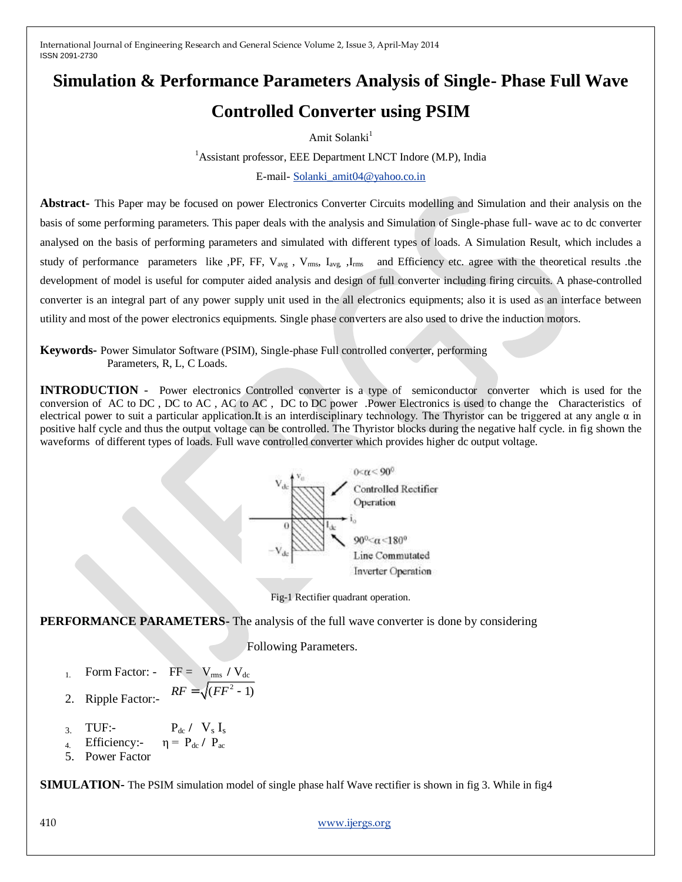# **Simulation & Performance Parameters Analysis of Single- Phase Full Wave Controlled Converter using PSIM**

Amit Solanki $<sup>1</sup>$ </sup>

<sup>1</sup>Assistant professor, EEE Department LNCT Indore (M.P), India E-mail- [Solanki\\_amit04@yahoo.co.in](mailto:Solanki_amit04@yahoo.co.in)

**Abstract-** This Paper may be focused on power Electronics Converter Circuits modelling and Simulation and their analysis on the basis of some performing parameters. This paper deals with the analysis and Simulation of Single-phase full- wave ac to dc converter analysed on the basis of performing parameters and simulated with different types of loads. A Simulation Result, which includes a study of performance parameters like ,PF, FF,  $V_{avg}$ ,  $V_{rms}$ ,  $I_{avg}$ ,  $I_{rms}$  and Efficiency etc. agree with the theoretical results .the development of model is useful for computer aided analysis and design of full converter including firing circuits. A phase-controlled converter is an integral part of any power supply unit used in the all electronics equipments; also it is used as an interface between utility and most of the power electronics equipments. Single phase converters are also used to drive the induction motors.

**Keywords-** Power Simulator Software (PSIM), Single-phase Full controlled converter, performing Parameters, R, L, C Loads.

**INTRODUCTION** - Power electronics Controlled converter is a type of semiconductor converter which is used for the conversion of AC to DC , DC to AC , AC to AC , DC to DC power .Power Electronics is used to change the Characteristics of electrical power to suit a particular application.It is an interdisciplinary technology. The Thyristor can be triggered at any angle α in positive half cycle and thus the output voltage can be controlled. The Thyristor blocks during the negative half cycle. in fig shown the waveforms of different types of loads. Full wave controlled converter which provides higher dc output voltage.





**PERFORMANCE PARAMETERS-** The analysis of the full wave converter is done by considering

Following Parameters.

- 1. Form Factor:  $FF = V_{rms} / V_{dc}$  $RF = \sqrt{(FF^2 - 1)}$
- 2. Ripple Factor:-
- $\overline{3}$ . TUF:-  $P_{dc}$  /  $V_s$  I<sub>s</sub>
- 4. Efficiency:-  $η = P_{dc} / P_{ac}$
- 5. Power Factor

**SIMULATION-** The PSIM simulation model of single phase half Wave rectifier is shown in fig 3. While in fig4

410 [www.ijergs.org](http://www.ijergs.org/)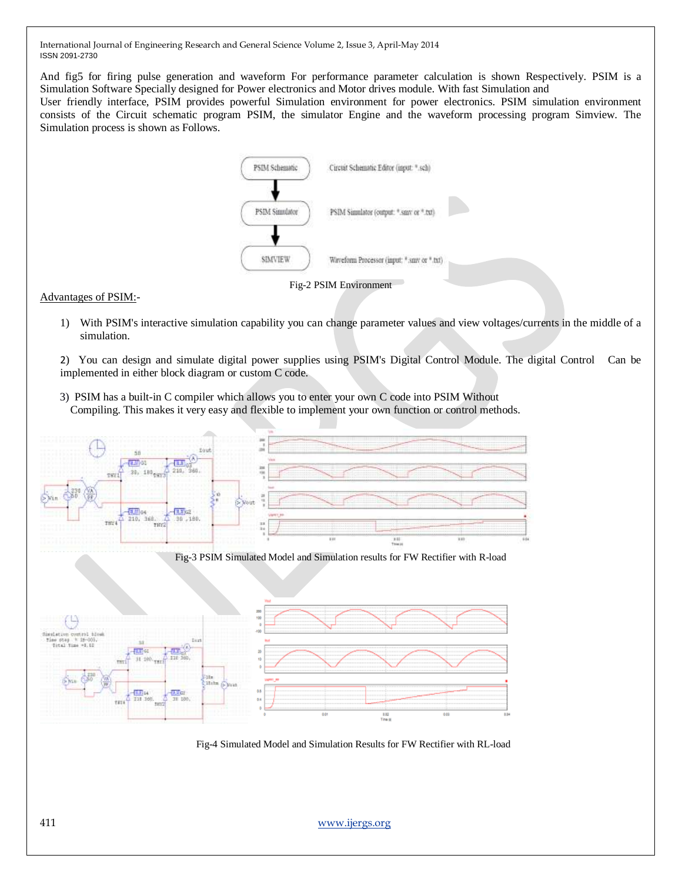And fig5 for firing pulse generation and waveform For performance parameter calculation is shown Respectively. PSIM is a Simulation Software Specially designed for Power electronics and Motor drives module. With fast Simulation and

User friendly interface, PSIM provides powerful Simulation environment for power electronics. PSIM simulation environment consists of the Circuit schematic program PSIM, the simulator Engine and the waveform processing program Simview. The Simulation process is shown as Follows.



#### Fig-2 PSIM Environment

#### Advantages of PSIM:-

1) With PSIM's interactive simulation capability you can change parameter values and view voltages/currents in the middle of a simulation.

2) You can design and simulate digital power supplies using PSIM's Digital Control Module. The digital Control Can be implemented in either block diagram or custom C code.

 3) PSIM has a built-in C compiler which allows you to enter your own C code into PSIM Without Compiling. This makes it very easy and flexible to implement your own function or control methods.



Fig-4 Simulated Model and Simulation Results for FW Rectifier with RL-load

411 [www.ijergs.org](http://www.ijergs.org/)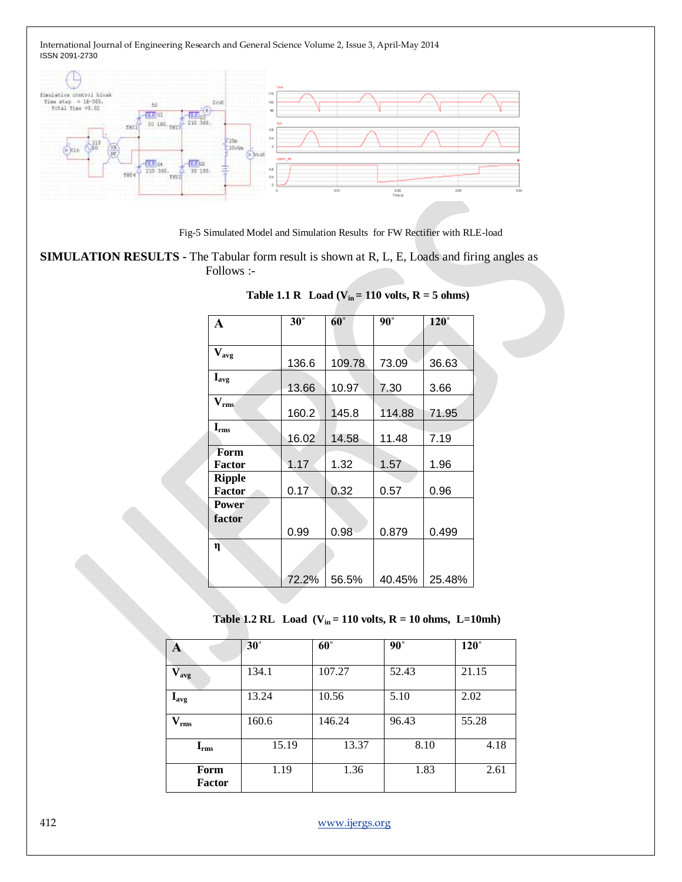

Fig-5 Simulated Model and Simulation Results for FW Rectifier with RLE-load

**SIMULATION RESULTS -** The Tabular form result is shown at R, L, E, Loads and firing angles as Follows :-

| A                              | $30^\circ$ | $60^\circ$ | $90^\circ$ | $120^\circ$ |
|--------------------------------|------------|------------|------------|-------------|
|                                |            |            |            |             |
| $\mathbf{V_{avg}}$             | 136.6      | 109.78     | 73.09      | 36.63       |
| $I_{avg}$                      | 13.66      | 10.97      | 7.30       | 3.66        |
| $V_{rms}$                      | 160.2      | 145.8      | 114.88     | 71.95       |
| $I_{rms}$                      | 16.02      | 14.58      | 11.48      | 7.19        |
| Form<br><b>Factor</b>          | 1.17       | 1.32       | 1.57       | 1.96        |
| <b>Ripple</b><br><b>Factor</b> | 0.17       | 0.32       | 0.57       | 0.96        |
| <b>Power</b><br>factor         |            |            |            |             |
|                                | 0.99       | 0.98       | 0.879      | 0.499       |
| $\mathbf n$                    |            |            |            |             |
|                                | 72.2%      | 56.5%      | 40.45%     | 25.48%      |

## **Table 1.1 R Load** ( $V_{in} = 110$  volts,  $R = 5$  ohms)

 **Table 1.2 RL Load (Vin = 110 volts, R = 10 ohms, L=10mh)**

| A                                    | $30^\circ$ | $60^\circ$ | $90^\circ$ | $120^\circ$ |
|--------------------------------------|------------|------------|------------|-------------|
| $\overline{\mathbf{V}}_{\text{avg}}$ | 134.1      | 107.27     | 52.43      | 21.15       |
| $I_{\rm avg}$                        | 13.24      | 10.56      | 5.10       | 2.02        |
| $V_{rms}$                            | 160.6      | 146.24     | 96.43      | 55.28       |
| $\mathbf{I}_{\text{rms}}$            | 15.19      | 13.37      | 8.10       | 4.18        |
| Form<br><b>Factor</b>                | 1.19       | 1.36       | 1.83       | 2.61        |

412 [www.ijergs.org](http://www.ijergs.org/)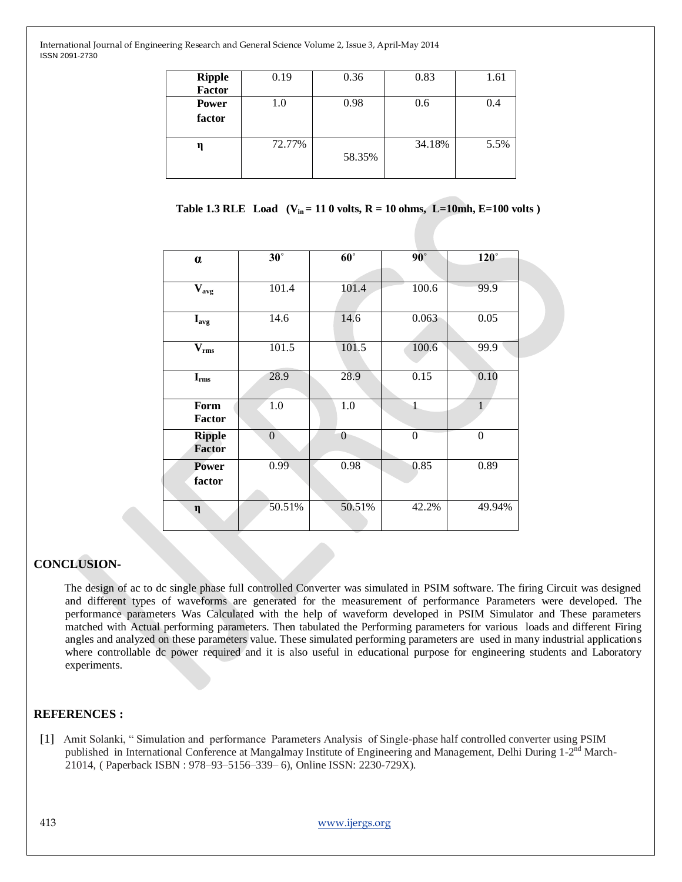| <b>Ripple</b><br><b>Factor</b> | 0.19    | 0.36   | 0.83   | 1.61 |
|--------------------------------|---------|--------|--------|------|
| <b>Power</b><br>factor         | $1.0\,$ | 0.98   | 0.6    | 0.4  |
| η                              | 72.77%  | 58.35% | 34.18% | 5.5% |

 **Table 1.3 RLE** Load ( $V_{in} = 110$  volts,  $R = 10$  ohms,  $L = 10$ mh,  $E = 100$  volts)

|                           | $30^\circ$ | $60^\circ$ | $90^\circ$   | $\overline{120^\circ}$ |
|---------------------------|------------|------------|--------------|------------------------|
| $\alpha$                  |            |            |              |                        |
| $\mathbf{V}_{\text{avg}}$ | 101.4      | 101.4      | 100.6        | 99.9                   |
| $\mathbf{I}_{\text{avg}}$ | 14.6       | 14.6       | 0.063        | 0.05                   |
| $V_{rms}$                 | 101.5      | 101.5      | 100.6        | 99.9                   |
| $\mathbf{I}_{\rm rms}$    | 28.9       | 28.9       | 0.15         | 0.10                   |
| Form<br><b>Factor</b>     | 1.0        | 1.0        | $\mathbf{1}$ |                        |
| <b>Ripple</b><br>Factor   | $\theta$   | $\theta$   | $\theta$     | $\theta$               |
| <b>Power</b><br>factor    | 0.99       | 0.98       | 0.85         | 0.89                   |
| $\eta$                    | 50.51%     | 50.51%     | 42.2%        | 49.94%                 |

## **CONCLUSION-**

The design of ac to dc single phase full controlled Converter was simulated in PSIM software. The firing Circuit was designed and different types of waveforms are generated for the measurement of performance Parameters were developed. The performance parameters Was Calculated with the help of waveform developed in PSIM Simulator and These parameters matched with Actual performing parameters. Then tabulated the Performing parameters for various loads and different Firing angles and analyzed on these parameters value. These simulated performing parameters are used in many industrial applications where controllable dc power required and it is also useful in educational purpose for engineering students and Laboratory experiments.

### **REFERENCES :**

 [1]Amit Solanki, " Simulation and performance Parameters Analysis of Single-phase half controlled converter using PSIM published in International Conference at Mangalmay Institute of Engineering and Management, Delhi During 1-2<sup>nd</sup> March-21014, ( Paperback ISBN : 978–93–5156–339– 6), Online ISSN: 2230-729X).